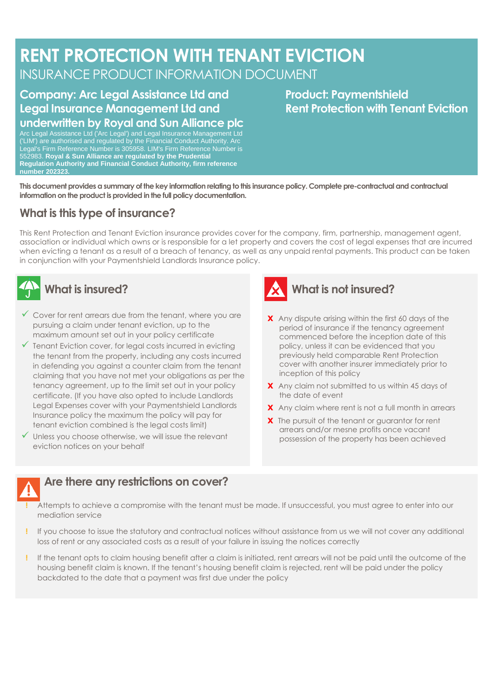# **RENT PROTECTION WITH TENANT EVICTION** INSURANCE PRODUCT INFORMATION DOCUMENT

## **Company: Arc Legal Assistance Ltd and Legal Insurance Management Ltd and underwritten by Royal and Sun Alliance plc**

**Product: Paymentshield Rent Protection with Tenant Eviction**

Arc Legal Assistance Ltd ('Arc Legal') and Legal Insurance Management Ltd ('LIM') are authorised and regulated by the Financial Conduct Authority. Arc Legal's Firm Reference Number is 305958. LIM's Firm Reference Number is 552983. **Royal & Sun Alliance are regulated by the Prudential Regulation Authority and Financial Conduct Authority, firm reference number 202323.**

**This document provides a summary of the key information relating to this insurance policy. Complete pre-contractual and contractual information on the product is provided in the full policy documentation.**

## **What is this type of insurance?**

This Rent Protection and Tenant Eviction insurance provides cover for the company, firm, partnership, management agent, association or individual which owns or is responsible for a let property and covers the cost of legal expenses that are incurred when evicting a tenant as a result of a breach of tenancy, as well as any unpaid rental payments. This product can be taken in conjunction with your Paymentshield Landlords Insurance policy.

# **What is insured?**

- $\checkmark$  Cover for rent arrears due from the tenant, where you are pursuing a claim under tenant eviction, up to the maximum amount set out in your policy certificate
- $\checkmark$  Tenant Eviction cover, for legal costs incurred in evicting the tenant from the property, including any costs incurred in defending you against a counter claim from the tenant claiming that you have not met your obligations as per the tenancy agreement, up to the limit set out in your policy certificate. (If you have also opted to include Landlords Legal Expenses cover with your Paymentshield Landlords Insurance policy the maximum the policy will pay for tenant eviction combined is the legal costs limit)
- ✓ Unless you choose otherwise, we will issue the relevant eviction notices on your behalf



# **What is not insured?**

- **X** Any dispute arising within the first 60 days of the period of insurance if the tenancy agreement commenced before the inception date of this policy, unless it can be evidenced that you previously held comparable Rent Protection cover with another insurer immediately prior to inception of this policy
- **X** Any claim not submitted to us within 45 days of the date of event
- **X** Any claim where rent is not a full month in arrears
- **X** The pursuit of the tenant or guarantor for rent arrears and/or mesne profits once vacant possession of the property has been achieved

### **Are there any restrictions on cover?**

- **!** Attempts to achieve a compromise with the tenant must be made. If unsuccessful, you must agree to enter into our mediation service
- **!** If you choose to issue the statutory and contractual notices without assistance from us we will not cover any additional loss of rent or any associated costs as a result of your failure in issuing the notices correctly
- **!** If the tenant opts to claim housing benefit after a claim is initiated, rent arrears will not be paid until the outcome of the housing benefit claim is known. If the tenant's housing benefit claim is rejected, rent will be paid under the policy backdated to the date that a payment was first due under the policy